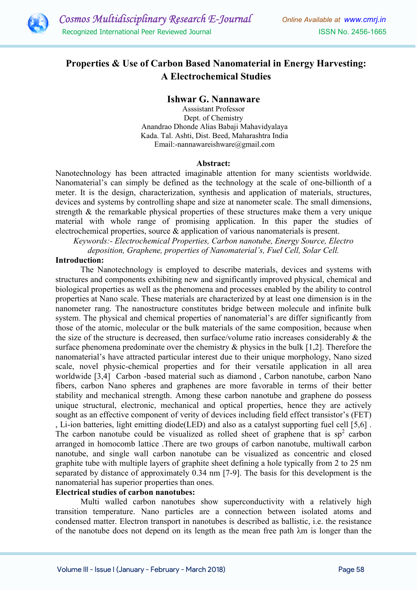

# Properties & Use of Carbon Based Nanomaterial in Energy Harvesting: A Electrochemical Studies

## Ishwar G. Nannaware

Asssistant Professor Dept. of Chemistry Anandrao Dhonde Alias Babaji Mahavidyalaya Kada. Tal. Ashti, Dist. Beed, Maharashtra India Email:-nannawareishware@gmail.com

#### Abstract:

Nanotechnology has been attracted imaginable attention for many scientists worldwide. Nanomaterial's can simply be defined as the technology at the scale of one-billionth of a meter. It is the design, characterization, synthesis and application of materials, structures, devices and systems by controlling shape and size at nanometer scale. The small dimensions, strength & the remarkable physical properties of these structures make them a very unique material with whole range of promising application. In this paper the studies of electrochemical properties, source & application of various nanomaterials is present.

Keywords:- Electrochemical Properties, Carbon nanotube, Energy Source, Electro deposition, Graphene, properties of Nanomaterial's, Fuel Cell, Solar Cell.

#### Introduction:

 The Nanotechnology is employed to describe materials, devices and systems with structures and components exhibiting new and significantly improved physical, chemical and biological properties as well as the phenomena and processes enabled by the ability to control properties at Nano scale. These materials are characterized by at least one dimension is in the nanometer rang. The nanostructure constitutes bridge between molecule and infinite bulk system. The physical and chemical properties of nanomaterial's are differ significantly from those of the atomic, molecular or the bulk materials of the same composition, because when the size of the structure is decreased, then surface/volume ratio increases considerably & the surface phenomena predominate over the chemistry  $\&$  physics in the bulk [1,2]. Therefore the nanomaterial's have attracted particular interest due to their unique morphology, Nano sized scale, novel physic-chemical properties and for their versatile application in all area worldwide [3,4] Carbon -based material such as diamond , Carbon nanotube, carbon Nano fibers, carbon Nano spheres and graphenes are more favorable in terms of their better stability and mechanical strength. Among these carbon nanotube and graphene do possess unique structural, electronic, mechanical and optical properties, hence they are actively sought as an effective component of verity of devices including field effect transistor's (FET) , Li-ion batteries, light emitting diode(LED) and also as a catalyst supporting fuel cell [5,6] . The carbon nanotube could be visualized as rolled sheet of graphene that is  $sp^2$  carbon arranged in homocomb lattice .There are two groups of carbon nanotube, multiwall carbon nanotube, and single wall carbon nanotube can be visualized as concentric and closed graphite tube with multiple layers of graphite sheet defining a hole typically from 2 to 25 nm separated by distance of approximately 0.34 nm [7-9]. The basis for this development is the nanomaterial has superior properties than ones.

# Electrical studies of carbon nanotubes:

 Multi walled carbon nanotubes show superconductivity with a relatively high transition temperature. Nano particles are a connection between isolated atoms and condensed matter. Electron transport in nanotubes is described as ballistic, i.e. the resistance of the nanotube does not depend on its length as the mean free path λm is longer than the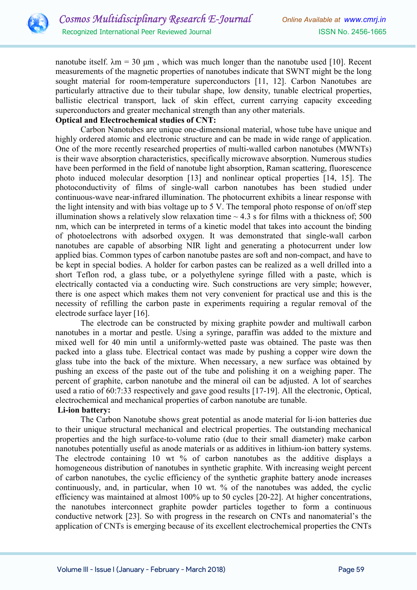

nanotube itself.  $\lambda$ m = 30  $\mu$ m, which was much longer than the nanotube used [10]. Recent measurements of the magnetic properties of nanotubes indicate that SWNT might be the long sought material for room-temperature superconductors [11, 12]. Carbon Nanotubes are particularly attractive due to their tubular shape, low density, tunable electrical properties, ballistic electrical transport, lack of skin effect, current carrying capacity exceeding superconductors and greater mechanical strength than any other materials.

# Optical and Electrochemical studies of CNT:

 Carbon Nanotubes are unique one-dimensional material, whose tube have unique and highly ordered atomic and electronic structure and can be made in wide range of application. One of the more recently researched properties of multi-walled carbon nanotubes (MWNTs) is their wave absorption characteristics, specifically microwave absorption. Numerous studies have been performed in the field of nanotube light absorption, Raman scattering, fluorescence photo induced molecular desorption [13] and nonlinear optical properties [14, 15]. The photoconductivity of films of single-wall carbon nanotubes has been studied under continuous-wave near-infrared illumination. The photocurrent exhibits a linear response with the light intensity and with bias voltage up to 5 V. The temporal photo response of on/off step illumination shows a relatively slow relaxation time  $\sim$  4.3 s for films with a thickness of; 500 nm, which can be interpreted in terms of a kinetic model that takes into account the binding of photoelectrons with adsorbed oxygen. It was demonstrated that single-wall carbon nanotubes are capable of absorbing NIR light and generating a photocurrent under low applied bias. Common types of carbon nanotube pastes are soft and non-compact, and have to be kept in special bodies. A holder for carbon pastes can be realized as a well drilled into a short Teflon rod, a glass tube, or a polyethylene syringe filled with a paste, which is electrically contacted via a conducting wire. Such constructions are very simple; however, there is one aspect which makes them not very convenient for practical use and this is the necessity of refilling the carbon paste in experiments requiring a regular removal of the electrode surface layer [16].

 The electrode can be constructed by mixing graphite powder and multiwall carbon nanotubes in a mortar and pestle. Using a syringe, paraffin was added to the mixture and mixed well for 40 min until a uniformly-wetted paste was obtained. The paste was then packed into a glass tube. Electrical contact was made by pushing a copper wire down the glass tube into the back of the mixture. When necessary, a new surface was obtained by pushing an excess of the paste out of the tube and polishing it on a weighing paper. The percent of graphite, carbon nanotube and the mineral oil can be adjusted. A lot of searches used a ratio of 60:7:33 respectively and gave good results [17-19]. All the electronic, Optical, electrochemical and mechanical properties of carbon nanotube are tunable.

#### Li-ion battery:

 The Carbon Nanotube shows great potential as anode material for li-ion batteries due to their unique structural mechanical and electrical properties. The outstanding mechanical properties and the high surface-to-volume ratio (due to their small diameter) make carbon nanotubes potentially useful as anode materials or as additives in lithium-ion battery systems. The electrode containing 10 wt % of carbon nanotubes as the additive displays a homogeneous distribution of nanotubes in synthetic graphite. With increasing weight percent of carbon nanotubes, the cyclic efficiency of the synthetic graphite battery anode increases continuously, and, in particular, when 10 wt. % of the nanotubes was added, the cyclic efficiency was maintained at almost 100% up to 50 cycles [20-22]. At higher concentrations, the nanotubes interconnect graphite powder particles together to form a continuous conductive network [23]. So with progress in the research on CNTs and nanomaterial's the application of CNTs is emerging because of its excellent electrochemical properties the CNTs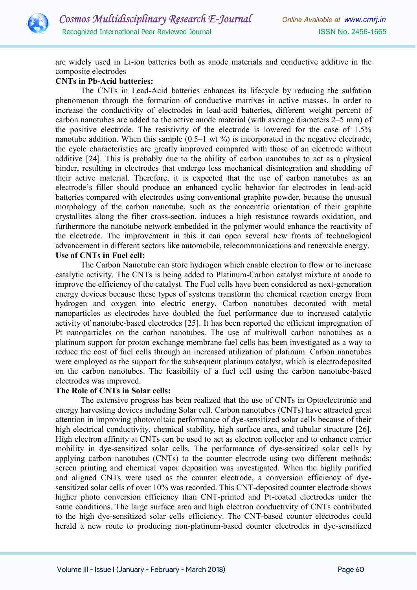

are widely used in Li-ion batteries both as anode materials and conductive additive in the composite electrodes

## CNTs in Pb-Acid batteries:

 The CNTs in Lead-Acid batteries enhances its lifecycle by reducing the sulfation phenomenon through the formation of conductive matrixes in active masses. In order to increase the conductivity of electrodes in lead-acid batteries, different weight percent of carbon nanotubes are added to the active anode material (with average diameters 2–5 mm) of the positive electrode. The resistivity of the electrode is lowered for the case of 1.5% nanotube addition. When this sample  $(0.5-1 \text{ wt } \%)$  is incorporated in the negative electrode, the cycle characteristics are greatly improved compared with those of an electrode without additive [24]. This is probably due to the ability of carbon nanotubes to act as a physical binder, resulting in electrodes that undergo less mechanical disintegration and shedding of their active material. Therefore, it is expected that the use of carbon nanotubes as an electrode's filler should produce an enhanced cyclic behavior for electrodes in lead-acid batteries compared with electrodes using conventional graphite powder, because the unusual morphology of the carbon nanotube, such as the concentric orientation of their graphite crystallites along the fiber cross-section, induces a high resistance towards oxidation, and furthermore the nanotube network embedded in the polymer would enhance the reactivity of the electrode. The improvement in this it can open several new fronts of technological advancement in different sectors like automobile, telecommunications and renewable energy. Use of CNTs in Fuel cell:

 The Carbon Nanotube can store hydrogen which enable electron to flow or to increase catalytic activity. The CNTs is being added to Platinum-Carbon catalyst mixture at anode to improve the efficiency of the catalyst. The Fuel cells have been considered as next-generation energy devices because these types of systems transform the chemical reaction energy from hydrogen and oxygen into electric energy. Carbon nanotubes decorated with metal nanoparticles as electrodes have doubled the fuel performance due to increased catalytic activity of nanotube-based electrodes [25]. It has been reported the efficient impregnation of Pt nanoparticles on the carbon nanotubes. The use of multiwall carbon nanotubes as a platinum support for proton exchange membrane fuel cells has been investigated as a way to reduce the cost of fuel cells through an increased utilization of platinum. Carbon nanotubes were employed as the support for the subsequent platinum catalyst, which is electrodeposited on the carbon nanotubes. The feasibility of a fuel cell using the carbon nanotube-based electrodes was improved.

## The Role of CNTs in Solar cells:

 The extensive progress has been realized that the use of CNTs in Optoelectronic and energy harvesting devices including Solar cell. Carbon nanotubes (CNTs) have attracted great attention in improving photovoltaic performance of dye-sensitized solar cells because of their high electrical conductivity, chemical stability, high surface area, and tubular structure [26]. High electron affinity at CNTs can be used to act as electron collector and to enhance carrier mobility in dye-sensitized solar cells. The performance of dye-sensitized solar cells by applying carbon nanotubes (CNTs) to the counter electrode using two different methods: screen printing and chemical vapor deposition was investigated. When the highly purified and aligned CNTs were used as the counter electrode, a conversion efficiency of dyesensitized solar cells of over 10% was recorded. This CNT-deposited counter electrode shows higher photo conversion efficiency than CNT-printed and Pt-coated electrodes under the same conditions. The large surface area and high electron conductivity of CNTs contributed to the high dye-sensitized solar cells efficiency. The CNT-based counter electrodes could herald a new route to producing non-platinum-based counter electrodes in dye-sensitized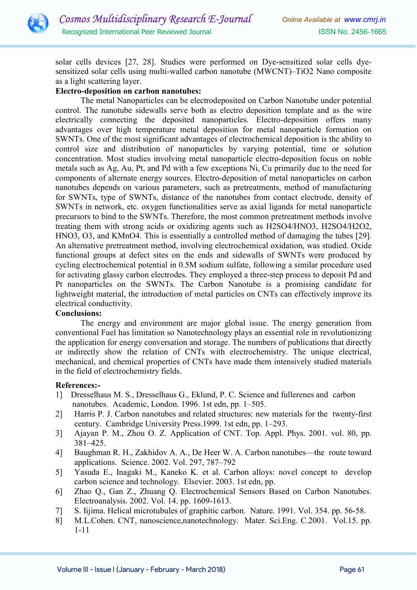

solar cells devices [27, 28]. Studies were performed on Dye-sensitized solar cells dyesensitized solar cells using multi-walled carbon nanotube (MWCNT)–TiO2 Nano composite as a light scattering layer.

# Electro-deposition on carbon nanotubes:

 The metal Nanoparticles can be electrodeposited on Carbon Nanotube under potential control. The nanotube sidewalls serve both as electro deposition template and as the wire electrically connecting the deposited nanoparticles. Electro-deposition offers many advantages over high temperature metal deposition for metal nanoparticle formation on SWNTs. One of the most significant advantages of electrochemical deposition is the ability to control size and distribution of nanoparticles by varying potential, time or solution concentration. Most studies involving metal nanoparticle electro-deposition focus on noble metals such as Ag, Au, Pt, and Pd with a few exceptions Ni, Cu primarily due to the need for components of alternate energy sources. Electro-deposition of metal nanoparticles on carbon nanotubes depends on various parameters, such as pretreatments, method of manufacturing for SWNTs, type of SWNTs, distance of the nanotubes from contact electrode, density of SWNTs in network, etc. oxygen functionalities serve as axial ligands for metal nanoparticle precursors to bind to the SWNTs. Therefore, the most common pretreatment methods involve treating them with strong acids or oxidizing agents such as H2SO4/HNO3, H2SO4/H2O2, HNO3, O3, and KMnO4. This is essentially a controlled method of damaging the tubes [29]. An alternative pretreatment method, involving electrochemical oxidation, was studied. Oxide functional groups at defect sites on the ends and sidewalls of SWNTs were produced by cycling electrochemical potential in 0.5M sodium sulfate, following a similar procedure used for activating glassy carbon electrodes. They employed a three-step process to deposit Pd and Pt nanoparticles on the SWNTs. The Carbon Nanotube is a promising candidate for lightweight material, the introduction of metal particles on CNTs can effectively improve its electrical conductivity.

#### Conclusions:

 The energy and environment are major global issue. The energy generation from conventional Fuel has limitation so Nanotechnology plays an essential role in revolutionizing the application for energy conversation and storage. The numbers of publications that directly or indirectly show the relation of CNTs with electrochemistry. The unique electrical, mechanical, and chemical properties of CNTs have made them intensively studied materials in the field of electrochemistry fields.

#### References:-

- 1] Dresselhaus M. S., Dresselhaus G., Eklund, P. C. Science and fullerenes and carbon nanotubes. Academic, London. 1996. 1st edn, pp. 1–505.
- 2] Harris P. J. Carbon nanotubes and related structures: new materials for the twenty-first century. Cambridge University Press.1999. 1st edn, pp. 1–293.
- 3] Ajayan P. M., Zhou O. Z. Application of CNT. Top. Appl. Phys. 2001. vol. 80, pp. 381–425.
- 4] Baughman R. H., Zakhidov A. A., De Heer W. A. Carbon nanotubes—the route toward applications. Science. 2002. Vol. 297, 787–792
- 5] Yasuda E., Inagaki M., Kaneko K. et al. Carbon alloys: novel concept to develop carbon science and technology. Elsevier. 2003. 1st edn, pp.
- 6] Zhao Q., Gan Z., Zhuang Q. Electrochemical Sensors Based on Carbon Nanotubes. Electroanalysis. 2002. Vol. 14. pp. 1609-1613.
- 7] S. Iijima. Helical microtubules of graphitic carbon. Nature. 1991. Vol. 354. pp. 56-58.
- 8] M.L.Cohen. CNT, nanoscience,nanotechnology. Mater. Sci.Eng. C.2001. Vol.15. pp. 1-11